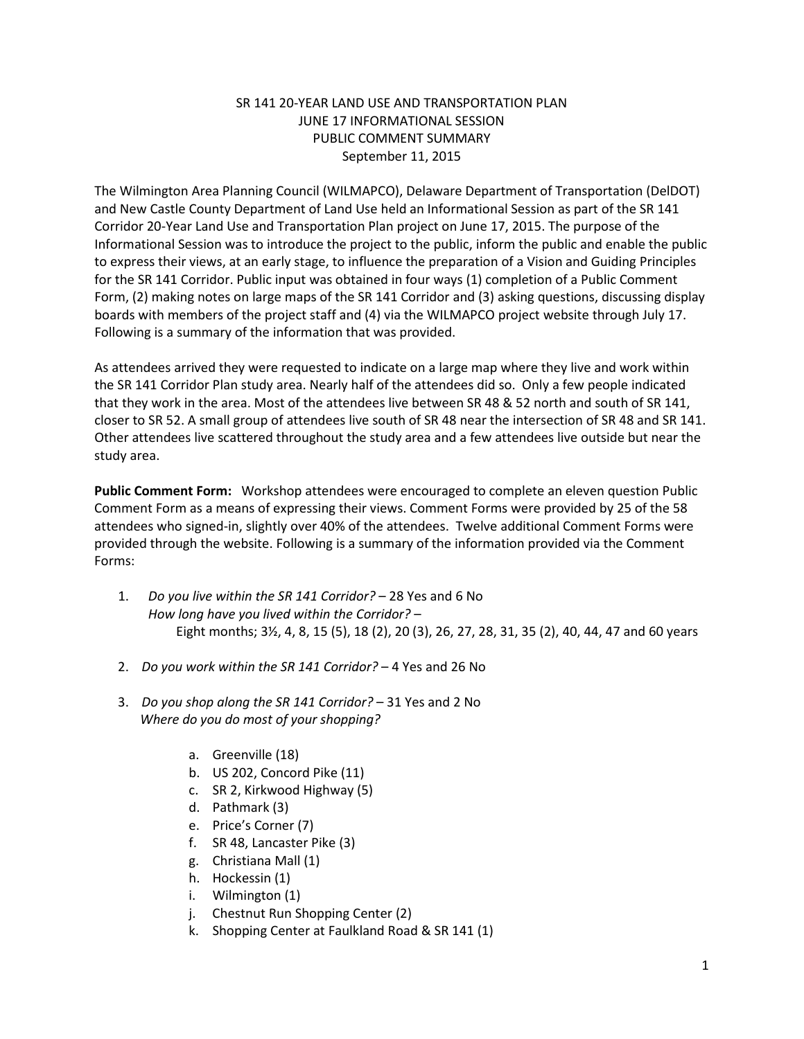# SR 141 20-YEAR LAND USE AND TRANSPORTATION PLAN JUNE 17 INFORMATIONAL SESSION PUBLIC COMMENT SUMMARY September 11, 2015

The Wilmington Area Planning Council (WILMAPCO), Delaware Department of Transportation (DelDOT) and New Castle County Department of Land Use held an Informational Session as part of the SR 141 Corridor 20-Year Land Use and Transportation Plan project on June 17, 2015. The purpose of the Informational Session was to introduce the project to the public, inform the public and enable the public to express their views, at an early stage, to influence the preparation of a Vision and Guiding Principles for the SR 141 Corridor. Public input was obtained in four ways (1) completion of a Public Comment Form, (2) making notes on large maps of the SR 141 Corridor and (3) asking questions, discussing display boards with members of the project staff and (4) via the WILMAPCO project website through July 17. Following is a summary of the information that was provided.

As attendees arrived they were requested to indicate on a large map where they live and work within the SR 141 Corridor Plan study area. Nearly half of the attendees did so. Only a few people indicated that they work in the area. Most of the attendees live between SR 48 & 52 north and south of SR 141, closer to SR 52. A small group of attendees live south of SR 48 near the intersection of SR 48 and SR 141. Other attendees live scattered throughout the study area and a few attendees live outside but near the study area.

**Public Comment Form:** Workshop attendees were encouraged to complete an eleven question Public Comment Form as a means of expressing their views. Comment Forms were provided by 25 of the 58 attendees who signed-in, slightly over 40% of the attendees. Twelve additional Comment Forms were provided through the website. Following is a summary of the information provided via the Comment Forms:

- 1. *Do you live within the SR 141 Corridor?* 28 Yes and 6 No *How long have you lived within the Corridor?* – Eight months; 3½, 4, 8, 15 (5), 18 (2), 20 (3), 26, 27, 28, 31, 35 (2), 40, 44, 47 and 60 years
- 2. *Do you work within the SR 141 Corridor?* 4 Yes and 26 No
- 3. *Do you shop along the SR 141 Corridor?* 31 Yes and 2 No  *Where do you do most of your shopping?*
	- a. Greenville (18)
	- b. US 202, Concord Pike (11)
	- c. SR 2, Kirkwood Highway (5)
	- d. Pathmark (3)
	- e. Price's Corner (7)
	- f. SR 48, Lancaster Pike (3)
	- g. Christiana Mall (1)
	- h. Hockessin (1)
	- i. Wilmington (1)
	- j. Chestnut Run Shopping Center (2)
	- k. Shopping Center at Faulkland Road & SR 141 (1)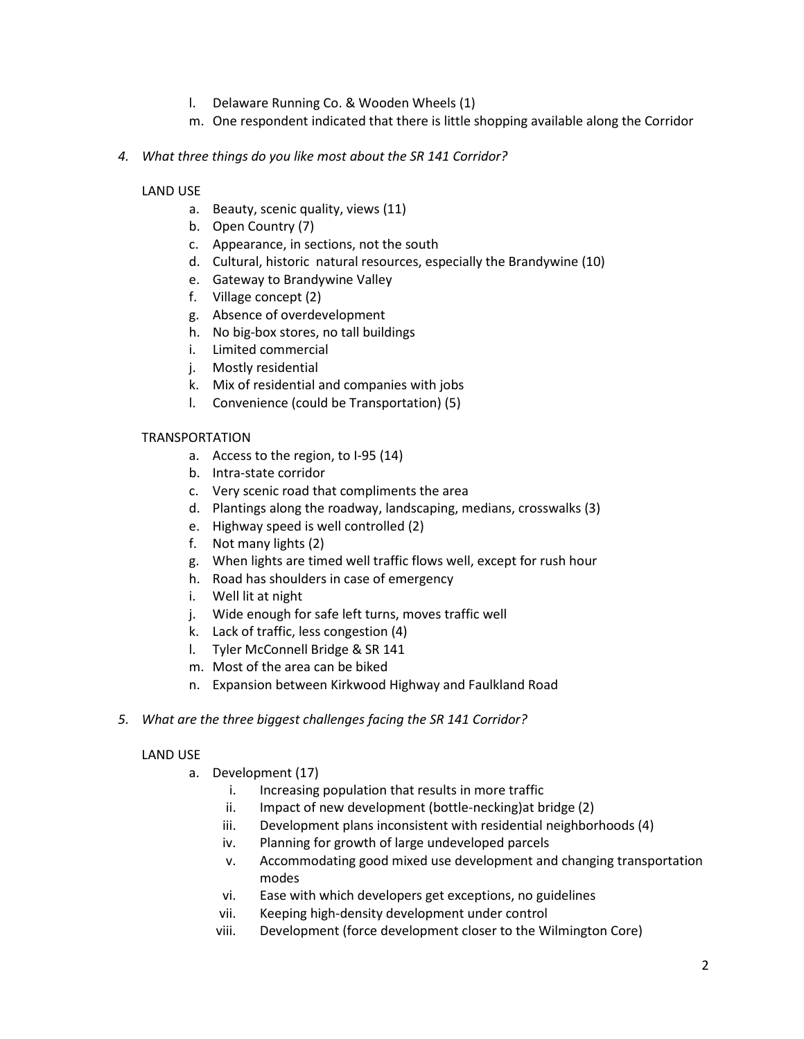- l. Delaware Running Co. & Wooden Wheels (1)
- m. One respondent indicated that there is little shopping available along the Corridor
- *4. What three things do you like most about the SR 141 Corridor?*

## LAND USE

- a. Beauty, scenic quality, views (11)
- b. Open Country (7)
- c. Appearance, in sections, not the south
- d. Cultural, historic natural resources, especially the Brandywine (10)
- e. Gateway to Brandywine Valley
- f. Village concept (2)
- g. Absence of overdevelopment
- h. No big-box stores, no tall buildings
- i. Limited commercial
- j. Mostly residential
- k. Mix of residential and companies with jobs
- l. Convenience (could be Transportation) (5)

### TRANSPORTATION

- a. Access to the region, to I-95 (14)
- b. Intra-state corridor
- c. Very scenic road that compliments the area
- d. Plantings along the roadway, landscaping, medians, crosswalks (3)
- e. Highway speed is well controlled (2)
- f. Not many lights (2)
- g. When lights are timed well traffic flows well, except for rush hour
- h. Road has shoulders in case of emergency
- i. Well lit at night
- j. Wide enough for safe left turns, moves traffic well
- k. Lack of traffic, less congestion (4)
- l. Tyler McConnell Bridge & SR 141
- m. Most of the area can be biked
- n. Expansion between Kirkwood Highway and Faulkland Road
- *5. What are the three biggest challenges facing the SR 141 Corridor?*

### LAND USE

- a. Development (17)
	- i. Increasing population that results in more traffic
	- ii. Impact of new development (bottle-necking)at bridge (2)
	- iii. Development plans inconsistent with residential neighborhoods (4)
	- iv. Planning for growth of large undeveloped parcels
	- v. Accommodating good mixed use development and changing transportation modes
	- vi. Ease with which developers get exceptions, no guidelines
	- vii. Keeping high-density development under control
	- viii. Development (force development closer to the Wilmington Core)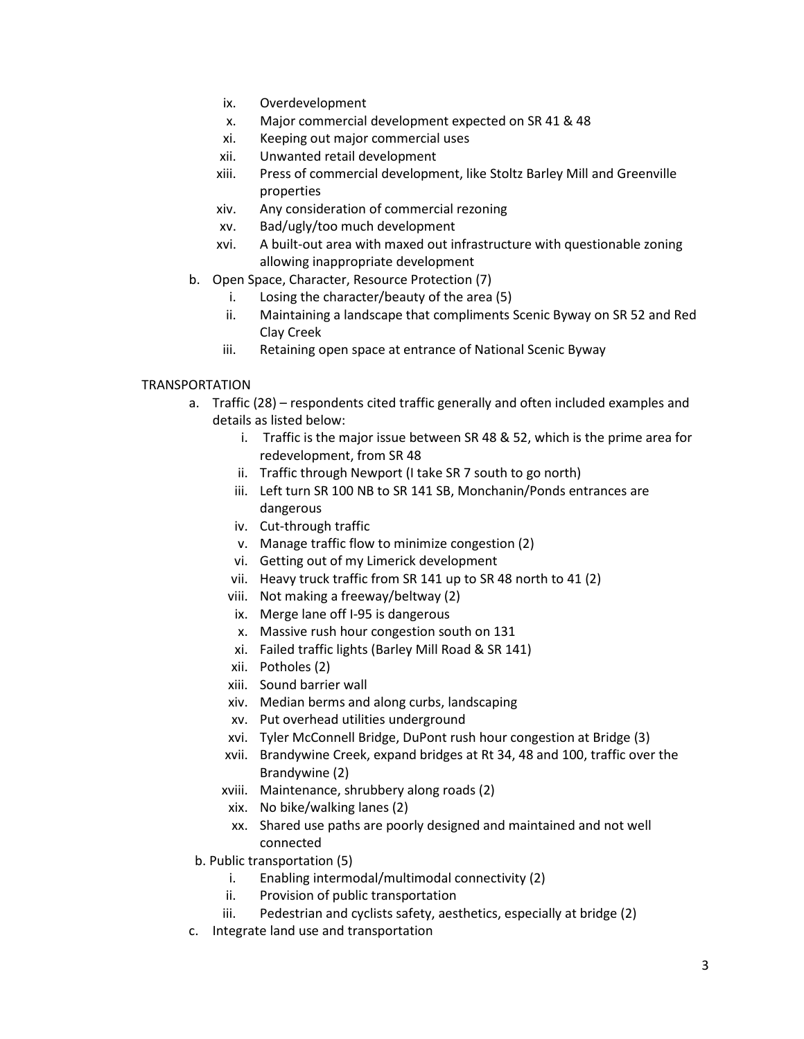- ix. Overdevelopment
- x. Major commercial development expected on SR 41 & 48
- xi. Keeping out major commercial uses
- xii. Unwanted retail development
- xiii. Press of commercial development, like Stoltz Barley Mill and Greenville properties
- xiv. Any consideration of commercial rezoning
- xv. Bad/ugly/too much development
- xvi. A built-out area with maxed out infrastructure with questionable zoning allowing inappropriate development
- b. Open Space, Character, Resource Protection (7)
	- i. Losing the character/beauty of the area (5)
	- ii. Maintaining a landscape that compliments Scenic Byway on SR 52 and Red Clay Creek
	- iii. Retaining open space at entrance of National Scenic Byway

# TRANSPORTATION

- a. Traffic (28) respondents cited traffic generally and often included examples and details as listed below:
	- i. Traffic is the major issue between SR 48 & 52, which is the prime area for redevelopment, from SR 48
	- ii. Traffic through Newport (I take SR 7 south to go north)
	- iii. Left turn SR 100 NB to SR 141 SB, Monchanin/Ponds entrances are dangerous
	- iv. Cut-through traffic
	- v. Manage traffic flow to minimize congestion (2)
	- vi. Getting out of my Limerick development
	- vii. Heavy truck traffic from SR 141 up to SR 48 north to 41 (2)
	- viii. Not making a freeway/beltway (2)
	- ix. Merge lane off I-95 is dangerous
	- x. Massive rush hour congestion south on 131
	- xi. Failed traffic lights (Barley Mill Road & SR 141)
	- xii. Potholes (2)
	- xiii. Sound barrier wall
	- xiv. Median berms and along curbs, landscaping
	- xv. Put overhead utilities underground
	- xvi. Tyler McConnell Bridge, DuPont rush hour congestion at Bridge (3)
	- xvii. Brandywine Creek, expand bridges at Rt 34, 48 and 100, traffic over the Brandywine (2)
	- xviii. Maintenance, shrubbery along roads (2)
	- xix. No bike/walking lanes (2)
	- xx. Shared use paths are poorly designed and maintained and not well connected
- b. Public transportation (5)
	- i. Enabling intermodal/multimodal connectivity (2)
	- ii. Provision of public transportation
	- iii. Pedestrian and cyclists safety, aesthetics, especially at bridge (2)
- c. Integrate land use and transportation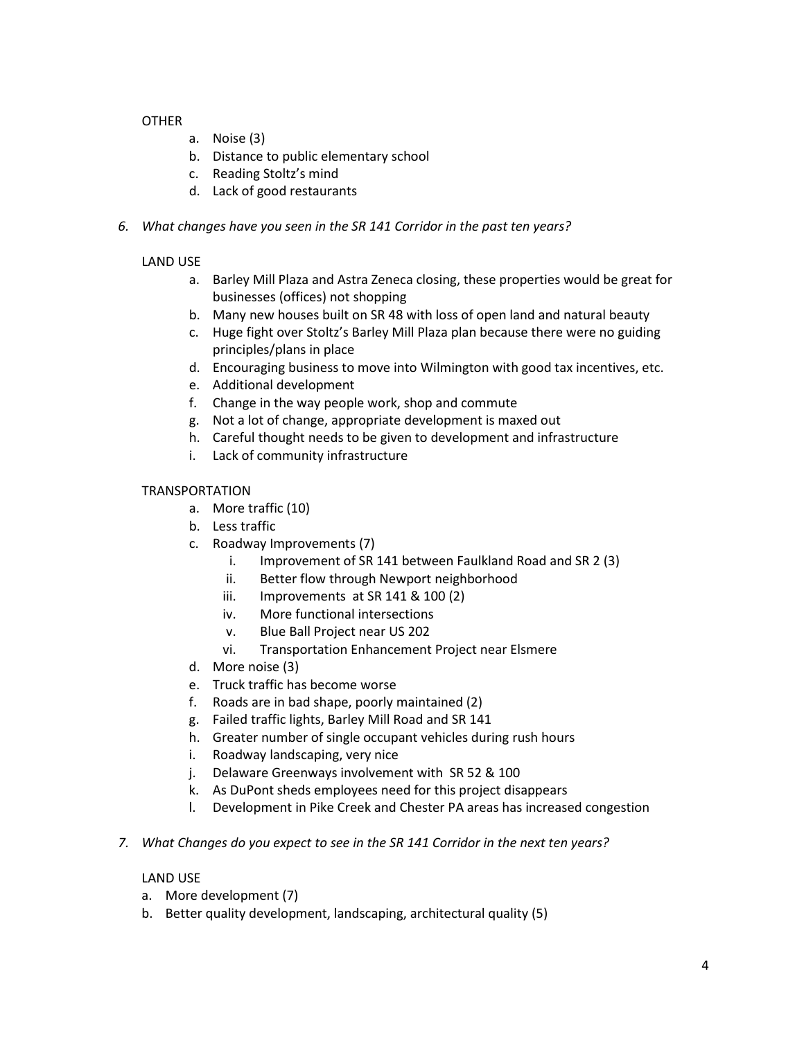## OTHER

- a. Noise (3)
- b. Distance to public elementary school
- c. Reading Stoltz's mind
- d. Lack of good restaurants
- *6. What changes have you seen in the SR 141 Corridor in the past ten years?*

# LAND USE

- a. Barley Mill Plaza and Astra Zeneca closing, these properties would be great for businesses (offices) not shopping
- b. Many new houses built on SR 48 with loss of open land and natural beauty
- c. Huge fight over Stoltz's Barley Mill Plaza plan because there were no guiding principles/plans in place
- d. Encouraging business to move into Wilmington with good tax incentives, etc.
- e. Additional development
- f. Change in the way people work, shop and commute
- g. Not a lot of change, appropriate development is maxed out
- h. Careful thought needs to be given to development and infrastructure
- i. Lack of community infrastructure

## TRANSPORTATION

- a. More traffic (10)
- b. Less traffic
- c. Roadway Improvements (7)
	- i. Improvement of SR 141 between Faulkland Road and SR 2 (3)
	- ii. Better flow through Newport neighborhood
	- iii. Improvements at SR 141 & 100 (2)
	- iv. More functional intersections
	- v. Blue Ball Project near US 202
	- vi. Transportation Enhancement Project near Elsmere
- d. More noise (3)
- e. Truck traffic has become worse
- f. Roads are in bad shape, poorly maintained (2)
- g. Failed traffic lights, Barley Mill Road and SR 141
- h. Greater number of single occupant vehicles during rush hours
- i. Roadway landscaping, very nice
- j. Delaware Greenways involvement with SR 52 & 100
- k. As DuPont sheds employees need for this project disappears
- l. Development in Pike Creek and Chester PA areas has increased congestion
- *7. What Changes do you expect to see in the SR 141 Corridor in the next ten years?*

### LAND USE

- a. More development (7)
- b. Better quality development, landscaping, architectural quality (5)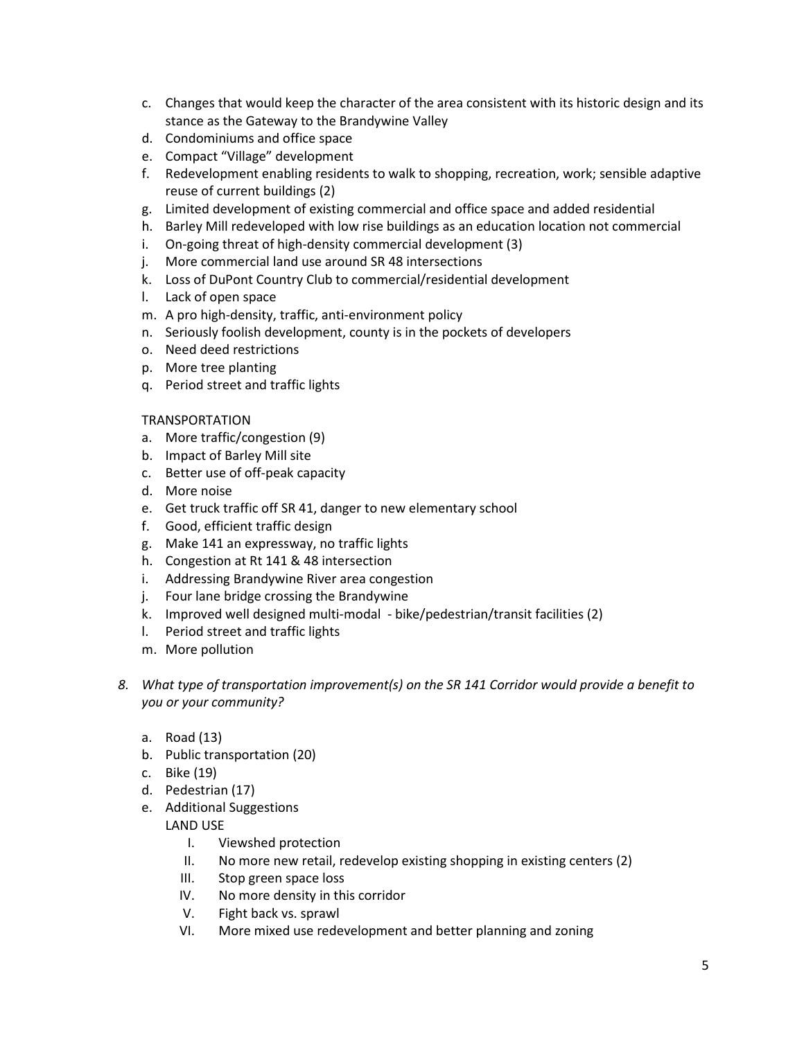- c. Changes that would keep the character of the area consistent with its historic design and its stance as the Gateway to the Brandywine Valley
- d. Condominiums and office space
- e. Compact "Village" development
- f. Redevelopment enabling residents to walk to shopping, recreation, work; sensible adaptive reuse of current buildings (2)
- g. Limited development of existing commercial and office space and added residential
- h. Barley Mill redeveloped with low rise buildings as an education location not commercial
- i. On-going threat of high-density commercial development (3)
- j. More commercial land use around SR 48 intersections
- k. Loss of DuPont Country Club to commercial/residential development
- l. Lack of open space
- m. A pro high-density, traffic, anti-environment policy
- n. Seriously foolish development, county is in the pockets of developers
- o. Need deed restrictions
- p. More tree planting
- q. Period street and traffic lights

#### TRANSPORTATION

- a. More traffic/congestion (9)
- b. Impact of Barley Mill site
- c. Better use of off-peak capacity
- d. More noise
- e. Get truck traffic off SR 41, danger to new elementary school
- f. Good, efficient traffic design
- g. Make 141 an expressway, no traffic lights
- h. Congestion at Rt 141 & 48 intersection
- i. Addressing Brandywine River area congestion
- j. Four lane bridge crossing the Brandywine
- k. Improved well designed multi-modal bike/pedestrian/transit facilities (2)
- l. Period street and traffic lights
- m. More pollution
- *8. What type of transportation improvement(s) on the SR 141 Corridor would provide a benefit to you or your community?*
	- a. Road (13)
	- b. Public transportation (20)
	- c. Bike (19)
	- d. Pedestrian (17)
	- e. Additional Suggestions

LAND USE

- I. Viewshed protection
- II. No more new retail, redevelop existing shopping in existing centers (2)
- III. Stop green space loss
- IV. No more density in this corridor
- V. Fight back vs. sprawl
- VI. More mixed use redevelopment and better planning and zoning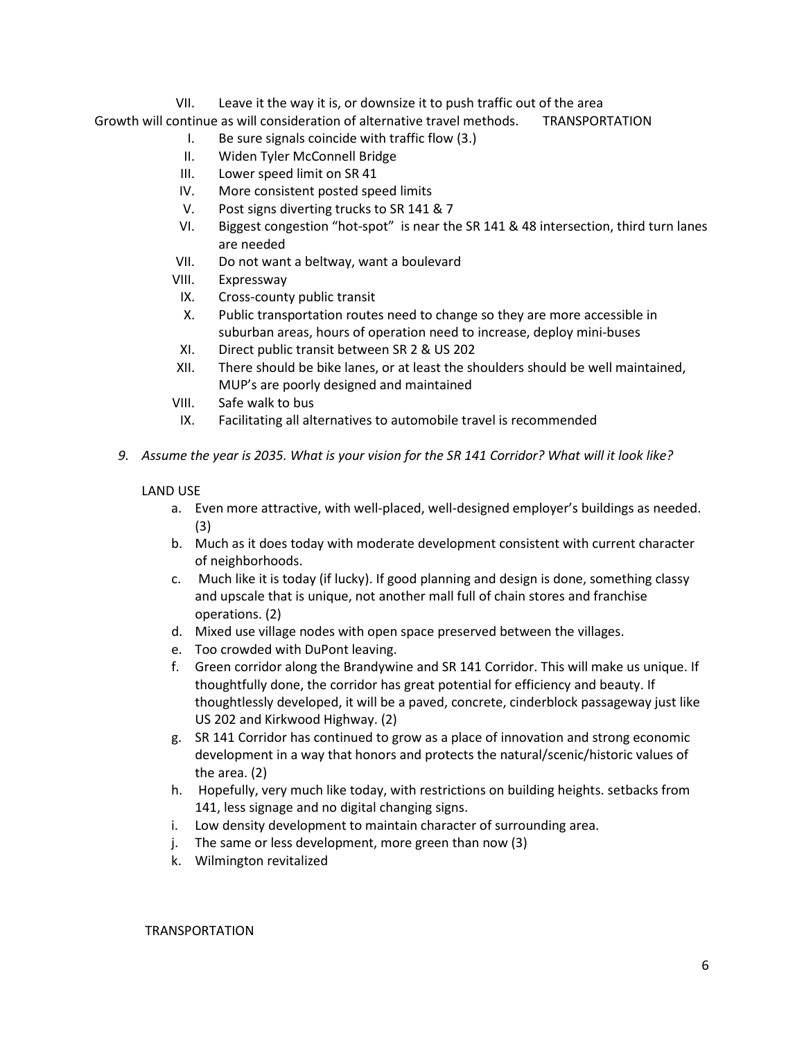VII. Leave it the way it is, or downsize it to push traffic out of the area Growth will continue as will consideration of alternative travel methods. TRANSPORTATION

- I. Be sure signals coincide with traffic flow (3.)
- II. Widen Tyler McConnell Bridge
- III. Lower speed limit on SR 41
- IV. More consistent posted speed limits
- V. Post signs diverting trucks to SR 141 & 7
- VI. Biggest congestion "hot-spot" is near the SR 141 & 48 intersection, third turn lanes are needed
- VII. Do not want a beltway, want a boulevard
- VIII. Expressway
- IX. Cross-county public transit
- X. Public transportation routes need to change so they are more accessible in suburban areas, hours of operation need to increase, deploy mini-buses
- XI. Direct public transit between SR 2 & US 202
- XII. There should be bike lanes, or at least the shoulders should be well maintained, MUP's are poorly designed and maintained
- VIII. Safe walk to bus
- IX. Facilitating all alternatives to automobile travel is recommended
- *9. Assume the year is 2035. What is your vision for the SR 141 Corridor? What will it look like?*

#### LAND USE

- a. Even more attractive, with well-placed, well-designed employer's buildings as needed. (3)
- b. Much as it does today with moderate development consistent with current character of neighborhoods.
- c. Much like it is today (if lucky). If good planning and design is done, something classy and upscale that is unique, not another mall full of chain stores and franchise operations. (2)
- d. Mixed use village nodes with open space preserved between the villages.
- e. Too crowded with DuPont leaving.
- f. Green corridor along the Brandywine and SR 141 Corridor. This will make us unique. If thoughtfully done, the corridor has great potential for efficiency and beauty. If thoughtlessly developed, it will be a paved, concrete, cinderblock passageway just like US 202 and Kirkwood Highway. (2)
- g. SR 141 Corridor has continued to grow as a place of innovation and strong economic development in a way that honors and protects the natural/scenic/historic values of the area. (2)
- h. Hopefully, very much like today, with restrictions on building heights. setbacks from 141, less signage and no digital changing signs.
- i. Low density development to maintain character of surrounding area.
- j. The same or less development, more green than now (3)
- k. Wilmington revitalized

#### TRANSPORTATION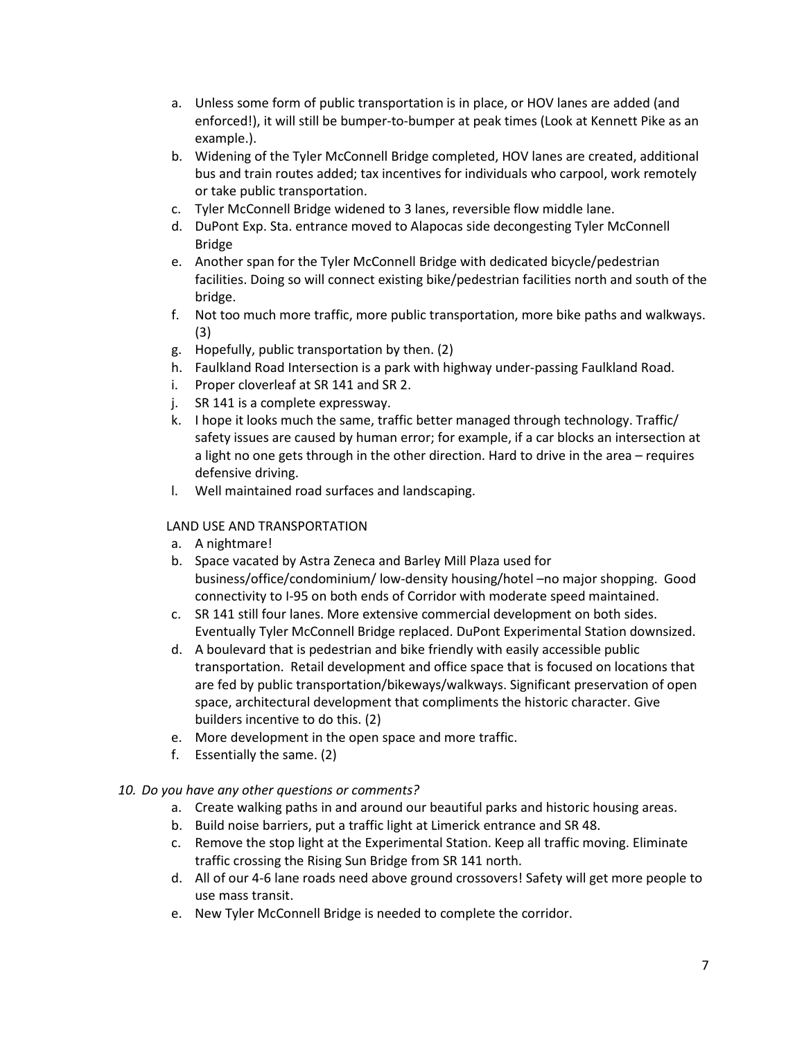- a. Unless some form of public transportation is in place, or HOV lanes are added (and enforced!), it will still be bumper-to-bumper at peak times (Look at Kennett Pike as an example.).
- b. Widening of the Tyler McConnell Bridge completed, HOV lanes are created, additional bus and train routes added; tax incentives for individuals who carpool, work remotely or take public transportation.
- c. Tyler McConnell Bridge widened to 3 lanes, reversible flow middle lane.
- d. DuPont Exp. Sta. entrance moved to Alapocas side decongesting Tyler McConnell Bridge
- e. Another span for the Tyler McConnell Bridge with dedicated bicycle/pedestrian facilities. Doing so will connect existing bike/pedestrian facilities north and south of the bridge.
- f. Not too much more traffic, more public transportation, more bike paths and walkways. (3)
- g. Hopefully, public transportation by then. (2)
- h. Faulkland Road Intersection is a park with highway under-passing Faulkland Road.
- i. Proper cloverleaf at SR 141 and SR 2.
- j. SR 141 is a complete expressway.
- k. I hope it looks much the same, traffic better managed through technology. Traffic/ safety issues are caused by human error; for example, if a car blocks an intersection at a light no one gets through in the other direction. Hard to drive in the area – requires defensive driving.
- l. Well maintained road surfaces and landscaping.

## LAND USE AND TRANSPORTATION

- a. A nightmare!
- b. Space vacated by Astra Zeneca and Barley Mill Plaza used for business/office/condominium/ low-density housing/hotel –no major shopping. Good connectivity to I-95 on both ends of Corridor with moderate speed maintained.
- c. SR 141 still four lanes. More extensive commercial development on both sides. Eventually Tyler McConnell Bridge replaced. DuPont Experimental Station downsized.
- d. A boulevard that is pedestrian and bike friendly with easily accessible public transportation. Retail development and office space that is focused on locations that are fed by public transportation/bikeways/walkways. Significant preservation of open space, architectural development that compliments the historic character. Give builders incentive to do this. (2)
- e. More development in the open space and more traffic.
- f. Essentially the same. (2)

### *10. Do you have any other questions or comments?*

- a. Create walking paths in and around our beautiful parks and historic housing areas.
- b. Build noise barriers, put a traffic light at Limerick entrance and SR 48.
- c. Remove the stop light at the Experimental Station. Keep all traffic moving. Eliminate traffic crossing the Rising Sun Bridge from SR 141 north.
- d. All of our 4-6 lane roads need above ground crossovers! Safety will get more people to use mass transit.
- e. New Tyler McConnell Bridge is needed to complete the corridor.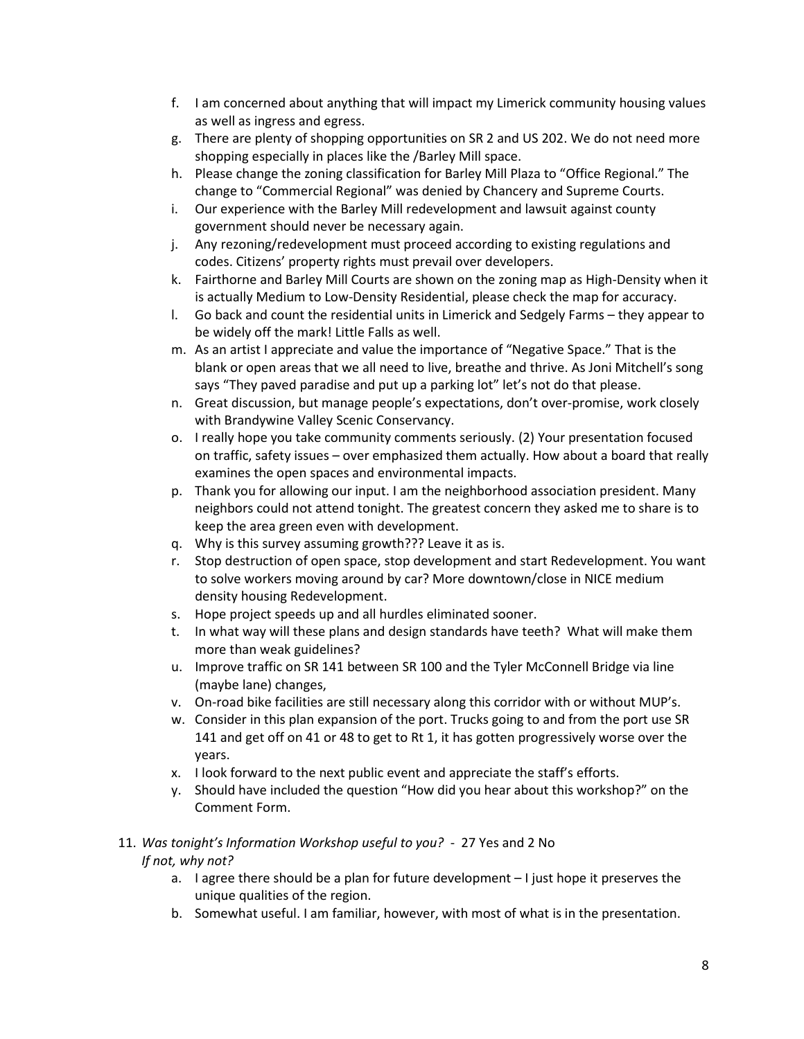- f. I am concerned about anything that will impact my Limerick community housing values as well as ingress and egress.
- g. There are plenty of shopping opportunities on SR 2 and US 202. We do not need more shopping especially in places like the /Barley Mill space.
- h. Please change the zoning classification for Barley Mill Plaza to "Office Regional." The change to "Commercial Regional" was denied by Chancery and Supreme Courts.
- i. Our experience with the Barley Mill redevelopment and lawsuit against county government should never be necessary again.
- j. Any rezoning/redevelopment must proceed according to existing regulations and codes. Citizens' property rights must prevail over developers.
- k. Fairthorne and Barley Mill Courts are shown on the zoning map as High-Density when it is actually Medium to Low-Density Residential, please check the map for accuracy.
- l. Go back and count the residential units in Limerick and Sedgely Farms they appear to be widely off the mark! Little Falls as well.
- m. As an artist I appreciate and value the importance of "Negative Space." That is the blank or open areas that we all need to live, breathe and thrive. As Joni Mitchell's song says "They paved paradise and put up a parking lot" let's not do that please.
- n. Great discussion, but manage people's expectations, don't over-promise, work closely with Brandywine Valley Scenic Conservancy.
- o. I really hope you take community comments seriously. (2) Your presentation focused on traffic, safety issues – over emphasized them actually. How about a board that really examines the open spaces and environmental impacts.
- p. Thank you for allowing our input. I am the neighborhood association president. Many neighbors could not attend tonight. The greatest concern they asked me to share is to keep the area green even with development.
- q. Why is this survey assuming growth??? Leave it as is.
- r. Stop destruction of open space, stop development and start Redevelopment. You want to solve workers moving around by car? More downtown/close in NICE medium density housing Redevelopment.
- s. Hope project speeds up and all hurdles eliminated sooner.
- t. In what way will these plans and design standards have teeth? What will make them more than weak guidelines?
- u. Improve traffic on SR 141 between SR 100 and the Tyler McConnell Bridge via line (maybe lane) changes,
- v. On-road bike facilities are still necessary along this corridor with or without MUP's.
- w. Consider in this plan expansion of the port. Trucks going to and from the port use SR 141 and get off on 41 or 48 to get to Rt 1, it has gotten progressively worse over the years.
- x. I look forward to the next public event and appreciate the staff's efforts.
- y. Should have included the question "How did you hear about this workshop?" on the Comment Form.

# 11. *Was tonight's Information Workshop useful to you?* - 27 Yes and 2 No *If not, why not?*

- a. I agree there should be a plan for future development I just hope it preserves the unique qualities of the region.
- b. Somewhat useful. I am familiar, however, with most of what is in the presentation.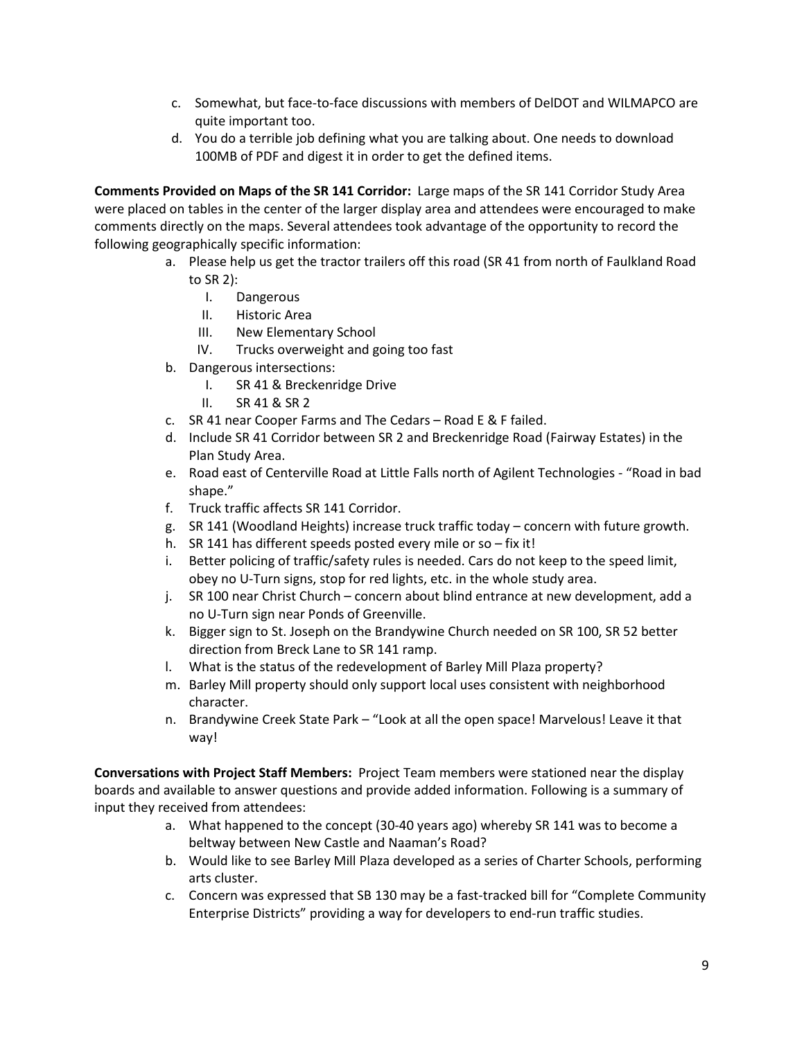- c. Somewhat, but face-to-face discussions with members of DelDOT and WILMAPCO are quite important too.
- d. You do a terrible job defining what you are talking about. One needs to download 100MB of PDF and digest it in order to get the defined items.

**Comments Provided on Maps of the SR 141 Corridor:** Large maps of the SR 141 Corridor Study Area were placed on tables in the center of the larger display area and attendees were encouraged to make comments directly on the maps. Several attendees took advantage of the opportunity to record the following geographically specific information:

- a. Please help us get the tractor trailers off this road (SR 41 from north of Faulkland Road to SR 2):
	- I. Dangerous
	- II. Historic Area
	- III. New Elementary School
	- IV. Trucks overweight and going too fast
- b. Dangerous intersections:
	- I. SR 41 & Breckenridge Drive
	- II. SR 41 & SR 2
- c. SR 41 near Cooper Farms and The Cedars Road E & F failed.
- d. Include SR 41 Corridor between SR 2 and Breckenridge Road (Fairway Estates) in the Plan Study Area.
- e. Road east of Centerville Road at Little Falls north of Agilent Technologies "Road in bad shape."
- f. Truck traffic affects SR 141 Corridor.
- g. SR 141 (Woodland Heights) increase truck traffic today concern with future growth.
- h. SR 141 has different speeds posted every mile or so fix it!
- i. Better policing of traffic/safety rules is needed. Cars do not keep to the speed limit, obey no U-Turn signs, stop for red lights, etc. in the whole study area.
- j. SR 100 near Christ Church concern about blind entrance at new development, add a no U-Turn sign near Ponds of Greenville.
- k. Bigger sign to St. Joseph on the Brandywine Church needed on SR 100, SR 52 better direction from Breck Lane to SR 141 ramp.
- l. What is the status of the redevelopment of Barley Mill Plaza property?
- m. Barley Mill property should only support local uses consistent with neighborhood character.
- n. Brandywine Creek State Park "Look at all the open space! Marvelous! Leave it that way!

**Conversations with Project Staff Members:** Project Team members were stationed near the display boards and available to answer questions and provide added information. Following is a summary of input they received from attendees:

- a. What happened to the concept (30-40 years ago) whereby SR 141 was to become a beltway between New Castle and Naaman's Road?
- b. Would like to see Barley Mill Plaza developed as a series of Charter Schools, performing arts cluster.
- c. Concern was expressed that SB 130 may be a fast-tracked bill for "Complete Community Enterprise Districts" providing a way for developers to end-run traffic studies.